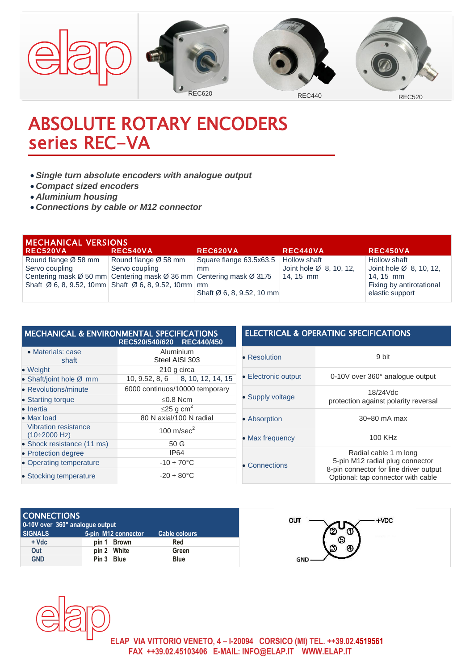

## ABSOLUTE ROTARY ENCODERS series REC-VA

- *Single turn absolute encoders with analogue output*
- *Compact sized encoders*
- *Aluminium housing*
- *Connections by cable or M12 connector*

| <b>MECHANICAL VERSIONS</b> |                                                                              |                           |                                     |                                     |  |  |  |
|----------------------------|------------------------------------------------------------------------------|---------------------------|-------------------------------------|-------------------------------------|--|--|--|
| <b>REC520VA</b>            | <b>REC540VA</b>                                                              | REC620VA                  | <b>REC440VA</b>                     | <b>REC450VA</b>                     |  |  |  |
| Round flange Ø 58 mm       | Round flange Ø 58 mm                                                         | Square flange 63.5x63.5   | Hollow shaft                        | Hollow shaft                        |  |  |  |
| Servo coupling             | Servo coupling                                                               | mm                        | Joint hole $\varnothing$ 8, 10, 12, | Joint hole $\varnothing$ 8, 10, 12, |  |  |  |
|                            | Centering mask Ø 50 mm Centering mask Ø 36 mm Centering mask Ø 31.75         |                           | $\vert$ 14, 15 mm                   | 14, 15 mm                           |  |  |  |
|                            | Shaft $\varnothing$ 6, 8, 9.52, 10mm Shaft $\varnothing$ 6, 8, 9.52, 10mm mm |                           |                                     | Fixing by antirotational            |  |  |  |
|                            |                                                                              | Shaft Ø 6, 8, 9.52, 10 mm |                                     | elastic support                     |  |  |  |

| <b>MECHANICAL &amp; ENVIRONMENTAL SPECIFICATIONS</b>      | <b>ELECTRICA</b>                     |                 |
|-----------------------------------------------------------|--------------------------------------|-----------------|
| • Materials: case<br>shaft                                | Aluminium<br>Steel AISI 303          | • Resolution    |
| • Weight                                                  | 210 g circa                          |                 |
| • Shaft/joint hole Ø mm                                   | $10, 9.52, 8, 6$   8, 10, 12, 14, 15 | • Electronic ou |
| • Revolutions/minute                                      | 6000 continuos/10000 temporary       |                 |
| • Starting torque                                         | ≤0.8 Ncm                             | • Supply volta  |
| • Inertia                                                 | $\leq$ 25 g cm <sup>2</sup>          |                 |
| $\bullet$ Max load                                        | 80 N axial/100 N radial              | • Absorption    |
| <b>Vibration resistance</b><br>$(10\div 2000 \text{ Hz})$ | 100 $m/sec2$                         | • Max frequen   |
| • Shock resistance (11 ms)                                | 50 G                                 |                 |
| • Protection degree                                       | <b>IP64</b>                          |                 |
| • Operating temperature                                   | $-10 \div 70^{\circ}$ C              | • Connections   |
| • Stocking temperature                                    | $-20 \div 80^{\circ}$ C              |                 |

## **& OPERATING SPECIFICATIONS**

| • Resolution        | 9 bit                                                                                                                                    |  |  |
|---------------------|------------------------------------------------------------------------------------------------------------------------------------------|--|--|
| • Electronic output | 0-10V over 360° analogue output                                                                                                          |  |  |
| • Supply voltage    | 18/24Vdc<br>protection against polarity reversal                                                                                         |  |  |
| • Absorption        | $30\div 80$ mA max                                                                                                                       |  |  |
| • Max frequency     | 100 KHz                                                                                                                                  |  |  |
| • Connections       | Radial cable 1 m long<br>5-pin M12 radial plug connector<br>8-pin connector for line driver output<br>Optional: tap connector with cable |  |  |

| <b>CONNECTIONS</b><br>0-10V over 360° analogue output |                     |               | <b>OUT</b><br>+VDC |
|-------------------------------------------------------|---------------------|---------------|--------------------|
| <b>SIGNALS</b>                                        | 5-pin M12 connector | Cable colours | (2)                |
| $+$ Vdc                                               | Brown<br>pin 1      | Red           | (5)                |
| Out                                                   | pin 2 White         | Green         | ග<br>⊕             |
| <b>GND</b>                                            | Pin 3 Blue          | <b>Blue</b>   | <b>GND</b>         |



**ELAP VIA VITTORIO VENETO, 4 – I-20094 CORSICO (MI) TEL. ++39.02.4519561 FAX ++39.02.45103406 E-MAIL: INFO@ELAP.IT WWW.ELAP.IT**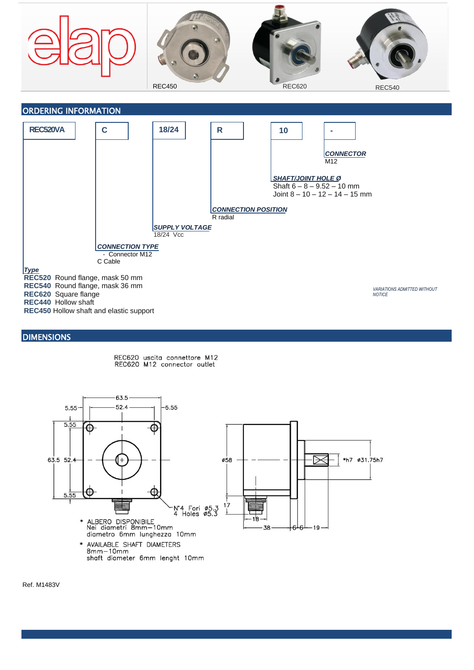



## **DIMENSIONS**





Ref. M1483V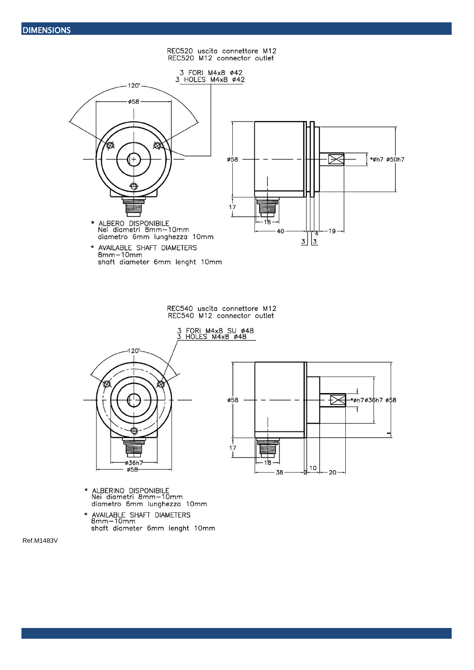REC520 uscita connettore M12<br>REC520 M12 connector outlet



REC540 uscita connettore M12<br>REC540 M12 connector outlet





- ALBERINO DISPONIBILE<br>Nei diametri 8mm—10mm<br>diametro 6mm lunghezza 10mm  $\ast$
- AVAILABLE SHAFT DIAMETERS<br>8mm-10mm shaft diameter 6mm lenght 10mm

Ref.M1483V